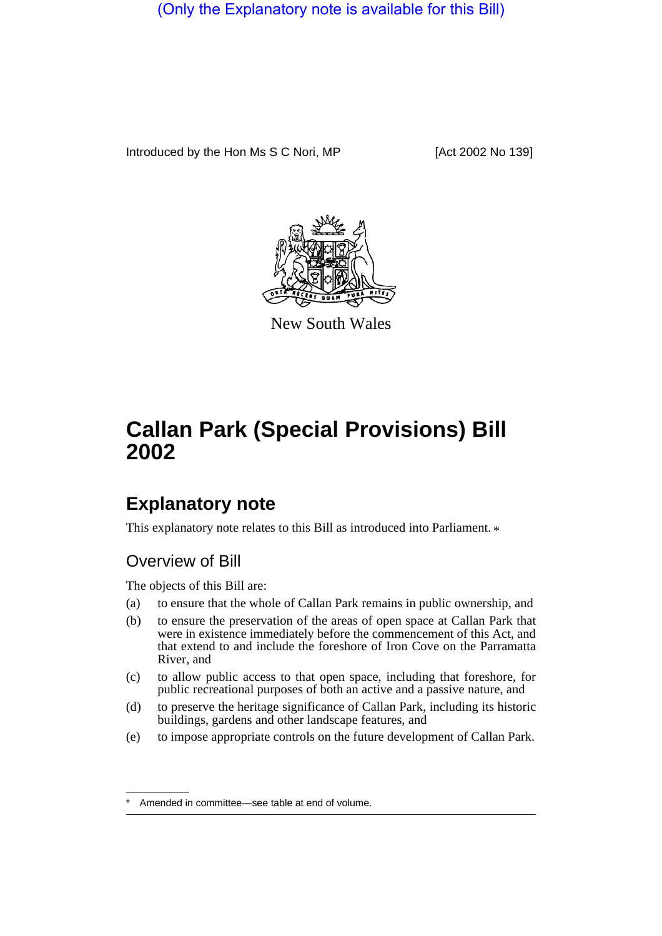(Only the Explanatory note is available for this Bill)

Introduced by the Hon Ms S C Nori, MP [Act 2002 No 139]



New South Wales

## **Callan Park (Special Provisions) Bill 2002**

## **Explanatory note**

This explanatory note relates to this Bill as introduced into Parliament.  $*$ 

## Overview of Bill

The objects of this Bill are:

- (a) to ensure that the whole of Callan Park remains in public ownership, and
- (b) to ensure the preservation of the areas of open space at Callan Park that were in existence immediately before the commencement of this Act, and that extend to and include the foreshore of Iron Cove on the Parramatta River, and
- (c) to allow public access to that open space, including that foreshore, for public recreational purposes of both an active and a passive nature, and
- (d) to preserve the heritage significance of Callan Park, including its historic buildings, gardens and other landscape features, and
- (e) to impose appropriate controls on the future development of Callan Park.

Amended in committee—see table at end of volume.